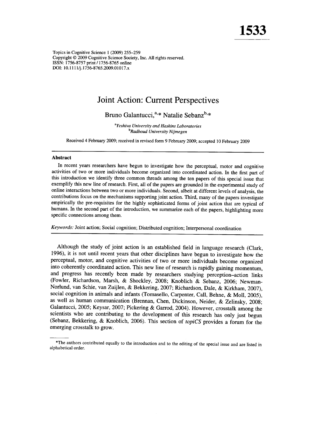Topics in Cognitive Science 1 (2009) 255–259 Copyright © 2009 Cognitive Science Society, Inc. All rights reserved. ISSN: 1756-8757 print / 1756-8765 online DOI: 10.1111/j.1756-8765.2009.01017.x

## **Joint Action: Current Perspectives**

Bruno Galantucci.<sup>a,\*</sup> Natalie Sebanz<sup>b,\*</sup>

<sup>a</sup>Yeshiva University and Haskins Laboratories <sup>b</sup>Radboud University Nijmegen

Received 4 February 2009; received in revised form 9 February 2009; accepted 10 February 2009

## **Abstract**

In recent years researchers have begun to investigate how the perceptual, motor and cognitive activities of two or more individuals become organized into coordinated action. In the first part of this introduction we identify three common threads among the ten papers of this special issue that exemplify this new line of research. First, all of the papers are grounded in the experimental study of online interactions between two or more individuals. Second, albeit at different levels of analysis, the contributions focus on the mechanisms supporting joint action. Third, many of the papers investigate empirically the pre-requisites for the highly sophisticated forms of joint action that are typical of humans. In the second part of the introduction, we summarize each of the papers, highlighting more specific connections among them.

Keywords: Joint action; Social cognition; Distributed cognition; Interpersonal coordination

Although the study of joint action is an established field in language research (Clark, 1996), it is not until recent years that other disciplines have begun to investigate how the perceptual, motor, and cognitive activities of two or more individuals become organized into coherently coordinated action. This new line of research is rapidly gaining momentum, and progress has recently been made by researchers studying perception-action links (Fowler, Richardson, Marsh, & Shockley, 2008; Knoblich & Sebanz, 2006; Newman-Norlund, van Schie, van Zuijlen, & Bekkering, 2007; Richardson, Dale, & Kirkham, 2007), social cognition in animals and infants (Tomasello, Carpenter, Call, Behne, & Moll, 2005), as well as human communication (Brennan, Chen, Dickinson, Neider, & Zelinsky, 2008; Galantucci, 2005; Keysar, 2007; Pickering & Garrod, 2004). However, crosstalk among the scientists who are contributing to the development of this research has only just begun (Sebanz, Bekkering, & Knoblich, 2006). This section of topiCS provides a forum for the emerging crosstalk to grow.

<sup>\*</sup>The authors contributed equally to the introduction and to the editing of the special issue and are listed in alphabetical order.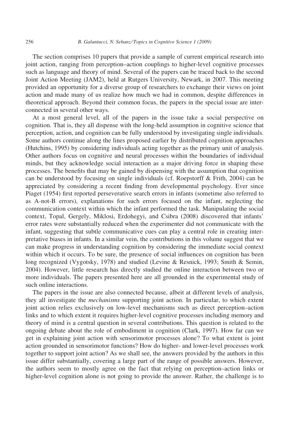The section comprises 10 papers that provide a sample of current empirical research into joint action, ranging from perception–action couplings to higher-level cognitive processes such as language and theory of mind. Several of the papers can be traced back to the second Joint Action Meeting (JAM2), held at Rutgers University, Newark, in 2007. This meeting provided an opportunity for a diverse group of researchers to exchange their views on joint action and made many of us realize how much we had in common, despite differences in theoretical approach. Beyond their common focus, the papers in the special issue are interconnected in several other ways.

At a most general level, all of the papers in the issue take a social perspective on cognition. That is, they all dispense with the long-held assumption in cognitive science that perception, action, and cognition can be fully understood by investigating single individuals. Some authors continue along the lines proposed earlier by distributed cognition approaches (Hutchins, 1995) by considering individuals acting together as the primary unit of analysis. Other authors focus on cognitive and neural processes within the boundaries of individual minds, but they acknowledge social interaction as a major driving force in shaping these processes. The benefits that may be gained by dispensing with the assumption that cognition can be understood by focusing on single individuals (cf. Roepstorff & Frith, 2004) can be appreciated by considering a recent finding from developmental psychology. Ever since Piaget (1954) first reported perseverative search errors in infants (sometime also referred to as A-not-B errors), explanations for such errors focused on the infant, neglecting the communication context within which the infant performed the task. Manipulating the social context, Topal, Gergely, Miklosi, Erdohegyi, and Csibra (2008) discovered that infants' error rates were substantially reduced when the experimenter did not communicate with the infant, suggesting that subtle communicative cues can play a central role in creating interpretative biases in infants. In a similar vein, the contributions in this volume suggest that we can make progress in understanding cognition by considering the immediate social context within which it occurs. To be sure, the presence of social influences on cognition has been long recognized (Vygotsky, 1978) and studied (Levine & Resnick, 1993; Smith & Semin, 2004). However, little research has directly studied the online interaction between two or more individuals. The papers presented here are all grounded in the experimental study of such online interactions.

The papers in the issue are also connected because, albeit at different levels of analysis, they all investigate the *mechanisms* supporting joint action. In particular, to which extent joint action relies exclusively on low-level mechanisms such as direct perception–action links and to which extent it requires higher-level cognitive processes including memory and theory of mind is a central question in several contributions. This question is related to the ongoing debate about the role of embodiment in cognition (Clark, 1997). How far can we get in explaining joint action with sensorimotor processes alone? To what extent is joint action grounded in sensorimotor functions? How do higher- and lower-level processes work together to support joint action? As we shall see, the answers provided by the authors in this issue differ substantially, covering a large part of the range of possible answers. However, the authors seem to mostly agree on the fact that relying on perception–action links or higher-level cognition alone is not going to provide the answer. Rather, the challenge is to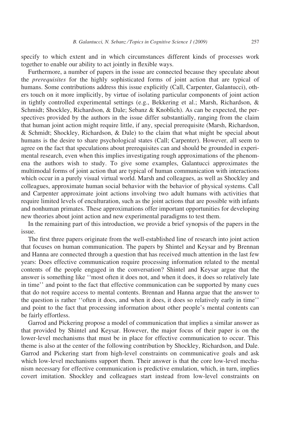specify to which extent and in which circumstances different kinds of processes work together to enable our ability to act jointly in flexible ways.

Furthermore, a number of papers in the issue are connected because they speculate about the prerequisites for the highly sophisticated forms of joint action that are typical of humans. Some contributions address this issue explicitly (Call, Carpenter, Galantucci), others touch on it more implicitly, by virtue of isolating particular components of joint action in tightly controlled experimental settings (e.g., Bekkering et al.; Marsh, Richardson, & Schmidt; Shockley, Richardson, & Dale; Sebanz & Knoblich). As can be expected, the perspectives provided by the authors in the issue differ substantially, ranging from the claim that human joint action might require little, if any, special prerequisite (Marsh, Richardson, & Schmidt; Shockley, Richardson, & Dale) to the claim that what might be special about humans is the desire to share psychological states (Call; Carpenter). However, all seem to agree on the fact that speculations about prerequisites can and should be grounded in experimental research, even when this implies investigating rough approximations of the phenomena the authors wish to study. To give some examples, Galantucci approximates the multimodal forms of joint action that are typical of human communication with interactions which occur in a purely visual virtual world. Marsh and colleagues, as well as Shockley and colleagues, approximate human social behavior with the behavior of physical systems. Call and Carpenter approximate joint actions involving two adult humans with activities that require limited levels of enculturation, such as the joint actions that are possible with infants and nonhuman primates. These approximations offer important opportunities for developing new theories about joint action and new experimental paradigms to test them.

In the remaining part of this introduction, we provide a brief synopsis of the papers in the issue.

The first three papers originate from the well-established line of research into joint action that focuses on human communication. The papers by Shintel and Keysar and by Brennan and Hanna are connected through a question that has received much attention in the last few years: Does effective communication require processing information related to the mental contents of the people engaged in the conversation? Shintel and Keysar argue that the answer is something like ''most often it does not, and when it does, it does so relatively late in time'' and point to the fact that effective communication can be supported by many cues that do not require access to mental contents. Brennan and Hanna argue that the answer to the question is rather ''often it does, and when it does, it does so relatively early in time'' and point to the fact that processing information about other people's mental contents can be fairly effortless.

Garrod and Pickering propose a model of communication that implies a similar answer as that provided by Shintel and Keysar. However, the major focus of their paper is on the lower-level mechanisms that must be in place for effective communication to occur. This theme is also at the center of the following contribution by Shockley, Richardson, and Dale. Garrod and Pickering start from high-level constraints on communicative goals and ask which low-level mechanisms support them. Their answer is that the core low-level mechanism necessary for effective communication is predictive emulation, which, in turn, implies covert imitation. Shockley and colleagues start instead from low-level constraints on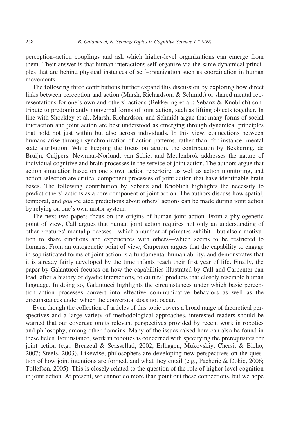perception–action couplings and ask which higher-level organizations can emerge from them. Their answer is that human interactions self-organize via the same dynamical principles that are behind physical instances of self-organization such as coordination in human movements.

The following three contributions further expand this discussion by exploring how direct links between perception and action (Marsh, Richardson, & Schmidt) or shared mental representations for one's own and others' actions (Bekkering et al.; Sebanz & Knoblich) contribute to predominantly nonverbal forms of joint action, such as lifting objects together. In line with Shockley et al., Marsh, Richardson, and Schmidt argue that many forms of social interaction and joint action are best understood as emerging through dynamical principles that hold not just within but also across individuals. In this view, connections between humans arise through synchronization of action patterns, rather than, for instance, mental state attribution. While keeping the focus on action, the contribution by Bekkering, de Bruijn, Cuijpers, Newman-Norlund, van Schie, and Meulenbrok addresses the nature of individual cognitive and brain processes in the service of joint action. The authors argue that action simulation based on one's own action repertoire, as well as action monitoring, and action selection are critical component processes of joint action that have identifiable brain bases. The following contribution by Sebanz and Knoblich highlights the necessity to predict others' actions as a core component of joint action. The authors discuss how spatial, temporal, and goal-related predictions about others' actions can be made during joint action by relying on one's own motor system.

The next two papers focus on the origins of human joint action. From a phylogenetic point of view, Call argues that human joint action requires not only an understanding of other creatures' mental processes—which a number of primates exhibit—but also a motivation to share emotions and experiences with others—which seems to be restricted to humans. From an ontogenetic point of view, Carpenter argues that the capability to engage in sophisticated forms of joint action is a fundamental human ability, and demonstrates that it is already fairly developed by the time infants reach their first year of life. Finally, the paper by Galantucci focuses on how the capabilities illustrated by Call and Carpenter can lead, after a history of dyadic interactions, to cultural products that closely resemble human language. In doing so, Galantucci highlights the circumstances under which basic perception–action processes convert into effective communicative behaviors as well as the circumstances under which the conversion does not occur.

Even though the collection of articles of this topic covers a broad range of theoretical perspectives and a large variety of methodological approaches, interested readers should be warned that our coverage omits relevant perspectives provided by recent work in robotics and philosophy, among other domains. Many of the issues raised here can also be found in these fields. For instance, work in robotics is concerned with specifying the prerequisites for joint action (e.g., Breazeal & Scassellati, 2002; Erlhagen, Mukovskiy, Chersi, & Bicho, 2007; Steels, 2003). Likewise, philosophers are developing new perspectives on the question of how joint intentions are formed, and what they entail (e.g., Pacherie & Dokic, 2006; Tollefsen, 2005). This is closely related to the question of the role of higher-level cognition in joint action. At present, we cannot do more than point out these connections, but we hope